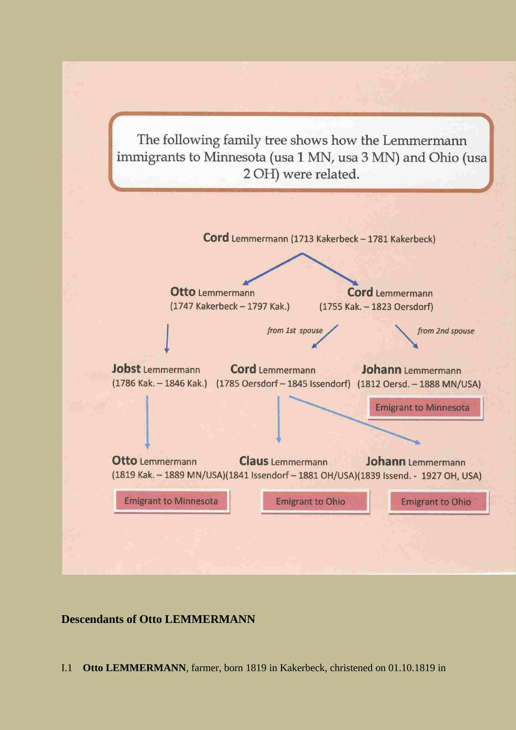The following family tree shows how the Lemmermann immigrants to Minnesota (usa 1 MN, usa 3 MN) and Ohio (usa 2 OH) were related.



## **Descendants of Otto LEMMERMANN**

<span id="page-0-0"></span>I.1 **Otto LEMMERMANN**, farmer, born 1819 in Kakerbeck, christened on 01.10.1819 in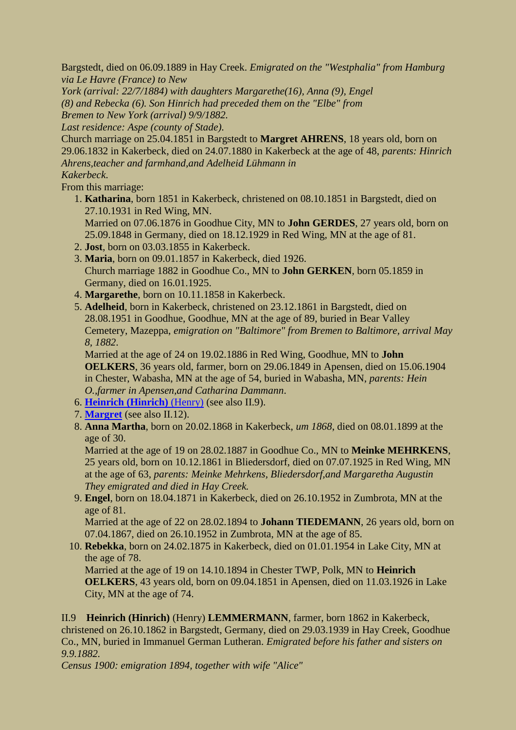Bargstedt, died on 06.09.1889 in Hay Creek. *Emigrated on the "Westphalia" from Hamburg via Le Havre (France) to New*

*York (arrival: 22/7/1884) with daughters Margarethe(16), Anna (9), Engel (8) and Rebecka (6). Son Hinrich had preceded them on the "Elbe" from Bremen to New York (arrival) 9/9/1882.*

*Last residence: Aspe (county of Stade)*.

Church marriage on 25.04.1851 in Bargstedt to **Margret AHRENS**, 18 years old, born on 29.06.1832 in Kakerbeck, died on 24.07.1880 in Kakerbeck at the age of 48, *parents: Hinrich Ahrens,teacher and farmhand,and Adelheid Lühmann in*

*Kakerbeck*.

From this marriage:

- <span id="page-1-1"></span> 1. **Katharina**, born 1851 in Kakerbeck, christened on 08.10.1851 in Bargstedt, died on 27.10.1931 in Red Wing, MN. Married on 07.06.1876 in Goodhue City, MN to **John GERDES**, 27 years old, born on 25.09.1848 in Germany, died on 18.12.1929 in Red Wing, MN at the age of 81.
- 2. **Jost**, born on 03.03.1855 in Kakerbeck.
- 3. **Maria**, born on 09.01.1857 in Kakerbeck, died 1926. Church marriage 1882 in Goodhue Co., MN to **John GERKEN**, born 05.1859 in Germany, died on 16.01.1925.
- 4. **Margarethe**, born on 10.11.1858 in Kakerbeck.
- 5. **Adelheid**, born in Kakerbeck, christened on 23.12.1861 in Bargstedt, died on 28.08.1951 in Goodhue, Goodhue, MN at the age of 89, buried in Bear Valley Cemetery, Mazeppa, *emigration on "Baltimore" from Bremen to Baltimore, arrival May 8, 1882*.

Married at the age of 24 on 19.02.1886 in Red Wing, Goodhue, MN to **John OELKERS**, 36 years old, farmer, born on 29.06.1849 in Apensen, died on 15.06.1904 in Chester, Wabasha, MN at the age of 54, buried in Wabasha, MN, *parents: Hein O.,farmer in Apensen,and Catharina Dammann*.

- 6. **[Heinrich \(Hinrich\)](#page-1-0)** (Henry) (see also II.9).
- 7. **[Margret](#page-5-0)** (see also II.12).
- 8. **Anna Martha**, born on 20.02.1868 in Kakerbeck, *um 1868*, died on 08.01.1899 at the age of 30.

Married at the age of 19 on 28.02.1887 in Goodhue Co., MN to **Meinke MEHRKENS**, 25 years old, born on 10.12.1861 in Bliedersdorf, died on 07.07.1925 in Red Wing, MN at the age of 63, *parents: Meinke Mehrkens, Bliedersdorf,and Margaretha Augustin They emigrated and died in Hay Creek.*

 9. **Engel**, born on 18.04.1871 in Kakerbeck, died on 26.10.1952 in Zumbrota, MN at the age of 81.

Married at the age of 22 on 28.02.1894 to **Johann TIEDEMANN**, 26 years old, born on 07.04.1867, died on 26.10.1952 in Zumbrota, MN at the age of 85.

## 10. **Rebekka**, born on 24.02.1875 in Kakerbeck, died on 01.01.1954 in Lake City, MN at the age of 78.

Married at the age of 19 on 14.10.1894 in Chester TWP, Polk, MN to **Heinrich OELKERS**, 43 years old, born on 09.04.1851 in Apensen, died on 11.03.1926 in Lake City, MN at the age of 74.

<span id="page-1-0"></span>II.9 **Heinrich (Hinrich)** (Henry) **LEMMERMANN**, farmer, born 1862 in Kakerbeck, christened on 26.10.1862 in Bargstedt, Germany, died on 29.03.1939 in Hay Creek, Goodhue Co., MN, buried in Immanuel German Lutheran. *Emigrated before his father and sisters on 9.9.1882.*

*Census 1900: emigration 1894, together with wife "Alice"*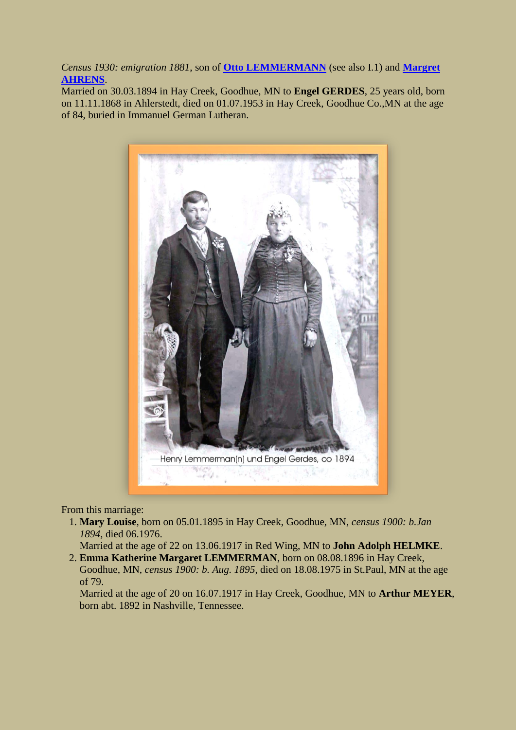*Census 1930: emigration 1881*, son of **[Otto LEMMERMANN](#page-0-0)** (see also I.1) and **[Margret](#page-1-1)  [AHRENS](#page-1-1)**.

Married on 30.03.1894 in Hay Creek, Goodhue, MN to **Engel GERDES**, 25 years old, born on 11.11.1868 in Ahlerstedt, died on 01.07.1953 in Hay Creek, Goodhue Co.,MN at the age of 84, buried in Immanuel German Lutheran.

<span id="page-2-0"></span>

From this marriage:

 1. **Mary Louise**, born on 05.01.1895 in Hay Creek, Goodhue, MN, *census 1900: b.Jan 1894*, died 06.1976.

Married at the age of 22 on 13.06.1917 in Red Wing, MN to **John Adolph HELMKE**.

 2. **Emma Katherine Margaret LEMMERMAN**, born on 08.08.1896 in Hay Creek, Goodhue, MN, *census 1900: b. Aug. 1895*, died on 18.08.1975 in St.Paul, MN at the age of 79.

Married at the age of 20 on 16.07.1917 in Hay Creek, Goodhue, MN to **Arthur MEYER**, born abt. 1892 in Nashville, Tennessee.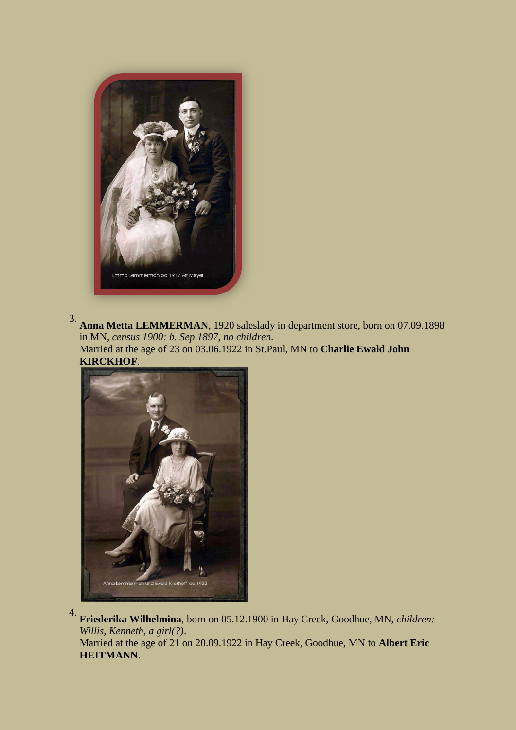

3. **Anna Metta LEMMERMAN**, 1920 saleslady in department store, born on 07.09.1898 in MN, *census 1900: b. Sep 1897*, *no children*. Married at the age of 23 on 03.06.1922 in St.Paul, MN to **Charlie Ewald John KIRCKHOF**.



4. **Friederika Wilhelmina**, born on 05.12.1900 in Hay Creek, Goodhue, MN, *children: Willis, Kenneth, a girl(?)*.

Married at the age of 21 on 20.09.1922 in Hay Creek, Goodhue, MN to **Albert Eric HEITMANN**.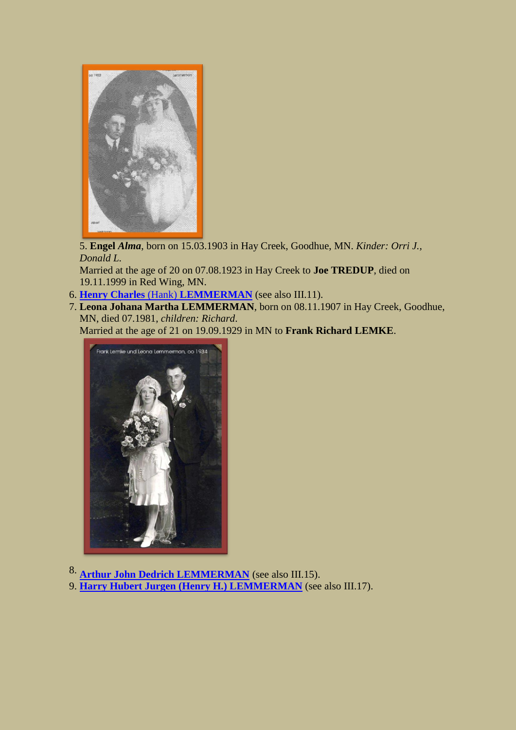

5. **Engel** *Alma*, born on 15.03.1903 in Hay Creek, Goodhue, MN. *Kinder: Orri J., Donald L.*

Married at the age of 20 on 07.08.1923 in Hay Creek to **Joe TREDUP**, died on 19.11.1999 in Red Wing, MN.

- 6. **Henry Charles** (Hank) **[LEMMERMAN](#page-6-0)** (see also III.11).
- 7. **Leona Johana Martha LEMMERMAN**, born on 08.11.1907 in Hay Creek, Goodhue, MN, died 07.1981, *children: Richard*.

Married at the age of 21 on 19.09.1929 in MN to **Frank Richard LEMKE**.



8. **[Arthur John Dedrich LEMMERMAN](#page-7-0)** (see also III.15).

9. **[Harry Hubert Jurgen \(Henry H.\) LEMMERMAN](#page-7-1)** (see also III.17).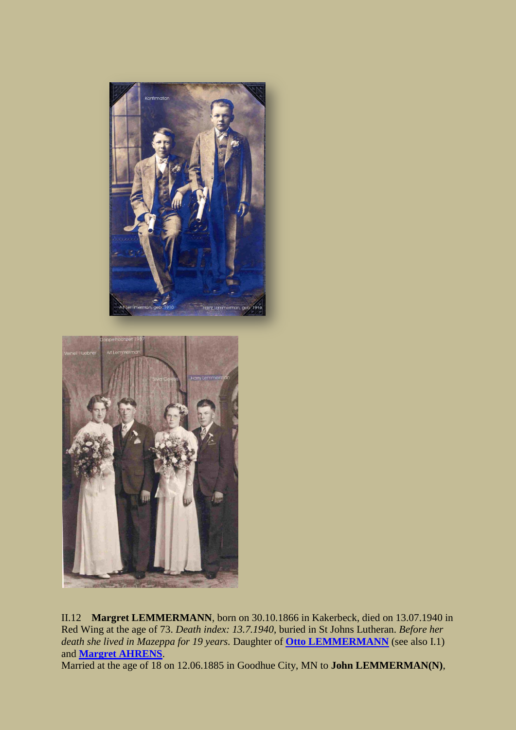<span id="page-5-0"></span>



II.12 **Margret LEMMERMANN**, born on 30.10.1866 in Kakerbeck, died on 13.07.1940 in Red Wing at the age of 73. *Death index: 13.7.1940*, buried in St Johns Lutheran. *Before her death she lived in Mazeppa for 19 years.* Daughter of **[Otto LEMMERMANN](#page-0-0)** (see also I.1) and **[Margret AHRENS](#page-1-1)**.

<span id="page-5-1"></span>Married at the age of 18 on 12.06.1885 in Goodhue City, MN to **John LEMMERMAN(N)**,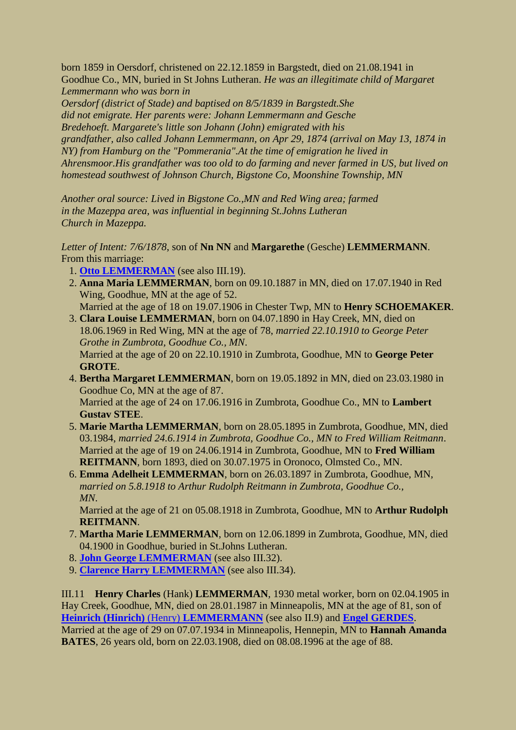born 1859 in Oersdorf, christened on 22.12.1859 in Bargstedt, died on 21.08.1941 in Goodhue Co., MN, buried in St Johns Lutheran. *He was an illegitimate child of Margaret Lemmermann who was born in*

*Oersdorf (district of Stade) and baptised on 8/5/1839 in Bargstedt.She did not emigrate. Her parents were: Johann Lemmermann and Gesche Bredehoeft. Margarete's little son Johann (John) emigrated with his grandfather, also called Johann Lemmermann, on Apr 29, 1874 (arrival on May 13, 1874 in NY) from Hamburg on the "Pommerania".At the time of emigration he lived in Ahrensmoor.His grandfather was too old to do farming and never farmed in US, but lived on homestead southwest of Johnson Church, Bigstone Co, Moonshine Township, MN*

*Another oral source: Lived in Bigstone Co.,MN and Red Wing area; farmed in the Mazeppa area, was influential in beginning St.Johns Lutheran Church in Mazeppa.*

*Letter of Intent: 7/6/1878*, son of **Nn NN** and **Margarethe** (Gesche) **LEMMERMANN**. From this marriage:

- 1. **[Otto LEMMERMAN](#page-8-0)** (see also III.19).
- 2. **Anna Maria LEMMERMAN**, born on 09.10.1887 in MN, died on 17.07.1940 in Red Wing, Goodhue, MN at the age of 52.
	- Married at the age of 18 on 19.07.1906 in Chester Twp, MN to **Henry SCHOEMAKER**.
- 3. **Clara Louise LEMMERMAN**, born on 04.07.1890 in Hay Creek, MN, died on 18.06.1969 in Red Wing, MN at the age of 78, *married 22.10.1910 to George Peter Grothe in Zumbrota, Goodhue Co., MN*. Married at the age of 20 on 22.10.1910 in Zumbrota, Goodhue, MN to **George Peter GROTE**.
- 4. **Bertha Margaret LEMMERMAN**, born on 19.05.1892 in MN, died on 23.03.1980 in Goodhue Co, MN at the age of 87. Married at the age of 24 on 17.06.1916 in Zumbrota, Goodhue Co., MN to **Lambert Gustav STEE**.
- 5. **Marie Martha LEMMERMAN**, born on 28.05.1895 in Zumbrota, Goodhue, MN, died 03.1984, *married 24.6.1914 in Zumbrota, Goodhue Co., MN to Fred William Reitmann*. Married at the age of 19 on 24.06.1914 in Zumbrota, Goodhue, MN to **Fred William REITMANN**, born 1893, died on 30.07.1975 in Oronoco, Olmsted Co., MN.
- 6. **Emma Adelheit LEMMERMAN**, born on 26.03.1897 in Zumbrota, Goodhue, MN, *married on 5.8.1918 to Arthur Rudolph Reitmann in Zumbrota, Goodhue Co., MN*.

Married at the age of 21 on 05.08.1918 in Zumbrota, Goodhue, MN to **Arthur Rudolph REITMANN**.

- 7. **Martha Marie LEMMERMAN**, born on 12.06.1899 in Zumbrota, Goodhue, MN, died 04.1900 in Goodhue, buried in St.Johns Lutheran.
- 8. **[John George LEMMERMAN](#page-8-1)** (see also III.32).
- 9. **[Clarence Harry LEMMERMAN](#page-8-2)** (see also III.34).

<span id="page-6-0"></span>III.11 **Henry Charles** (Hank) **LEMMERMAN**, 1930 metal worker, born on 02.04.1905 in Hay Creek, Goodhue, MN, died on 28.01.1987 in Minneapolis, MN at the age of 81, son of **[Heinrich \(Hinrich\)](#page-1-0)** (Henry) **LEMMERMANN** (see also II.9) and **[Engel GERDES](#page-2-0)**.

Married at the age of 29 on 07.07.1934 in Minneapolis, Hennepin, MN to **Hannah Amanda BATES**, 26 years old, born on 22.03.1908, died on 08.08.1996 at the age of 88.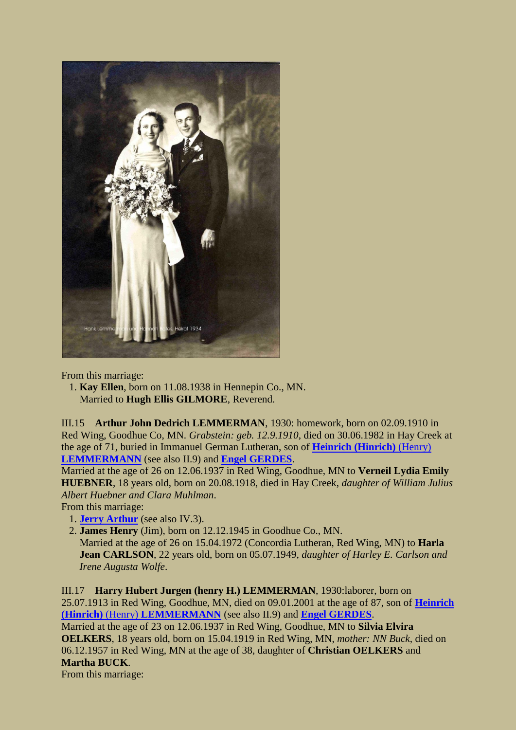

<span id="page-7-0"></span>From this marriage:

 1. **Kay Ellen**, born on 11.08.1938 in Hennepin Co., MN. Married to **Hugh Ellis GILMORE**, Reverend.

III.15 **Arthur John Dedrich LEMMERMAN**, 1930: homework, born on 02.09.1910 in Red Wing, Goodhue Co, MN. *Grabstein: geb. 12.9.1910*, died on 30.06.1982 in Hay Creek at the age of 71, buried in Immanuel German Lutheran, son of **[Heinrich \(Hinrich\)](#page-1-0)** (Henry) **[LEMMERMANN](#page-1-0)** (see also II.9) and **[Engel GERDES](#page-2-0)**.

Married at the age of 26 on 12.06.1937 in Red Wing, Goodhue, MN to **Verneil Lydia Emily HUEBNER**, 18 years old, born on 20.08.1918, died in Hay Creek, *daughter of William Julius Albert Huebner and Clara Muhlman*.

From this marriage:

- <span id="page-7-2"></span>1. **[Jerry Arthur](#page-9-0)** (see also IV.3).
- 2. **James Henry** (Jim), born on 12.12.1945 in Goodhue Co., MN. Married at the age of 26 on 15.04.1972 (Concordia Lutheran, Red Wing, MN) to **Harla Jean CARLSON**, 22 years old, born on 05.07.1949, *daughter of Harley E. Carlson and Irene Augusta Wolfe*.

<span id="page-7-3"></span><span id="page-7-1"></span>III.17 **Harry Hubert Jurgen (henry H.) LEMMERMAN**, 1930:laborer, born on 25.07.1913 in Red Wing, Goodhue, MN, died on 09.01.2001 at the age of 87, son of **[Heinrich](#page-1-0)  (Hinrich)** (Henry) **[LEMMERMANN](#page-1-0)** (see also II.9) and **[Engel GERDES](#page-2-0)**. Married at the age of 23 on 12.06.1937 in Red Wing, Goodhue, MN to **Silvia Elvira OELKERS**, 18 years old, born on 15.04.1919 in Red Wing, MN, *mother: NN Buck*, died on 06.12.1957 in Red Wing, MN at the age of 38, daughter of **Christian OELKERS** and **Martha BUCK**.

From this marriage: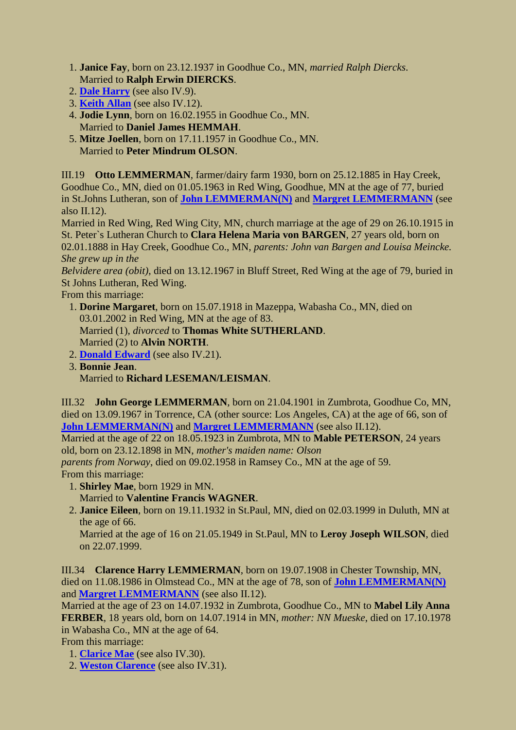- 1. **Janice Fay**, born on 23.12.1937 in Goodhue Co., MN, *married Ralph Diercks*. Married to **Ralph Erwin DIERCKS**.
- 2. **[Dale Harry](#page-9-1)** (see also IV.9).
- 3. **[Keith Allan](#page-9-2)** (see also IV.12).
- 4. **Jodie Lynn**, born on 16.02.1955 in Goodhue Co., MN. Married to **Daniel James HEMMAH**.
- 5. **Mitze Joellen**, born on 17.11.1957 in Goodhue Co., MN. Married to **Peter Mindrum OLSON**.

<span id="page-8-0"></span>III.19 **Otto LEMMERMAN**, farmer/dairy farm 1930, born on 25.12.1885 in Hay Creek, Goodhue Co., MN, died on 01.05.1963 in Red Wing, Goodhue, MN at the age of 77, buried in St.Johns Lutheran, son of **[John LEMMERMAN\(N\)](#page-5-1)** and **[Margret LEMMERMANN](#page-5-0)** (see also II.12).

<span id="page-8-3"></span>Married in Red Wing, Red Wing City, MN, church marriage at the age of 29 on 26.10.1915 in St. Peter`s Lutheran Church to **Clara Helena Maria von BARGEN**, 27 years old, born on 02.01.1888 in Hay Creek, Goodhue Co., MN, *parents: John van Bargen and Louisa Meincke. She grew up in the*

*Belvidere area (obit)*, died on 13.12.1967 in Bluff Street, Red Wing at the age of 79, buried in St Johns Lutheran, Red Wing.

From this marriage:

 1. **Dorine Margaret**, born on 15.07.1918 in Mazeppa, Wabasha Co., MN, died on 03.01.2002 in Red Wing, MN at the age of 83. Married (1), *divorced* to **Thomas White SUTHERLAND**.

Married (2) to **Alvin NORTH**.

- 2. **[Donald Edward](#page-9-3)** (see also IV.21).
- 3. **Bonnie Jean**. Married to **Richard LESEMAN/LEISMAN**.

<span id="page-8-1"></span>III.32 **John George LEMMERMAN**, born on 21.04.1901 in Zumbrota, Goodhue Co, MN, died on 13.09.1967 in Torrence, CA (other source: Los Angeles, CA) at the age of 66, son of **[John LEMMERMAN\(N\)](#page-5-1)** and **[Margret LEMMERMANN](#page-5-0)** (see also II.12).

Married at the age of 22 on 18.05.1923 in Zumbrota, MN to **Mable PETERSON**, 24 years old, born on 23.12.1898 in MN, *mother's maiden name: Olson*

*parents from Norway*, died on 09.02.1958 in Ramsey Co., MN at the age of 59.

From this marriage:

- 1. **Shirley Mae**, born 1929 in MN.
	- Married to **Valentine Francis WAGNER**.
- 2. **Janice Eileen**, born on 19.11.1932 in St.Paul, MN, died on 02.03.1999 in Duluth, MN at the age of 66.

<span id="page-8-4"></span>Married at the age of 16 on 21.05.1949 in St.Paul, MN to **Leroy Joseph WILSON**, died on 22.07.1999.

<span id="page-8-2"></span>III.34 **Clarence Harry LEMMERMAN**, born on 19.07.1908 in Chester Township, MN, died on 11.08.1986 in Olmstead Co., MN at the age of 78, son of **[John LEMMERMAN\(N\)](#page-5-1)** and **[Margret LEMMERMANN](#page-5-0)** (see also II.12).

Married at the age of 23 on 14.07.1932 in Zumbrota, Goodhue Co., MN to **Mabel Lily Anna FERBER**, 18 years old, born on 14.07.1914 in MN, *mother: NN Mueske*, died on 17.10.1978 in Wabasha Co., MN at the age of 64.

From this marriage:

- 1. **[Clarice Mae](#page-10-0)** (see also IV.30).
- 2. **[Weston Clarence](#page-10-1)** (see also IV.31).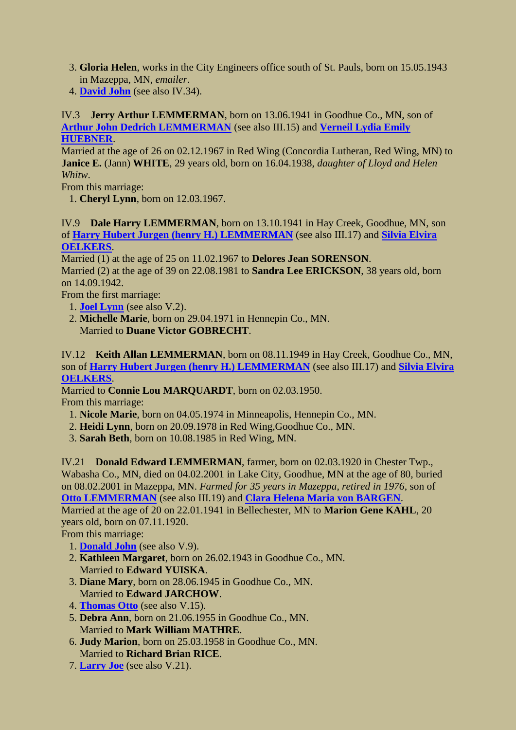- 3. **Gloria Helen**, works in the City Engineers office south of St. Pauls, born on 15.05.1943 in Mazeppa, MN, *emailer*.
- 4. **[David John](#page-10-2)** (see also IV.34).

<span id="page-9-0"></span>IV.3 **Jerry Arthur LEMMERMAN**, born on 13.06.1941 in Goodhue Co., MN, son of **[Arthur John Dedrich LEMMERMAN](#page-7-0)** (see also III.15) and **[Verneil Lydia Emily](#page-7-2)  [HUEBNER](#page-7-2)**.

Married at the age of 26 on 02.12.1967 in Red Wing (Concordia Lutheran, Red Wing, MN) to **Janice E.** (Jann) **WHITE**, 29 years old, born on 16.04.1938, *daughter of Lloyd and Helen Whitw*.

From this marriage:

1. **Cheryl Lynn**, born on 12.03.1967.

<span id="page-9-1"></span>IV.9 **Dale Harry LEMMERMAN**, born on 13.10.1941 in Hay Creek, Goodhue, MN, son of **[Harry Hubert Jurgen \(henry H.\) LEMMERMAN](#page-7-1)** (see also III.17) and **[Silvia Elvira](#page-7-3)  [OELKERS](#page-7-3)**.

Married (1) at the age of 25 on 11.02.1967 to **Delores Jean SORENSON**. Married (2) at the age of 39 on 22.08.1981 to **Sandra Lee ERICKSON**, 38 years old, born on 14.09.1942.

From the first marriage:

- <span id="page-9-4"></span>1. **[Joel Lynn](#page-10-3)** (see also V.2).
- 2. **Michelle Marie**, born on 29.04.1971 in Hennepin Co., MN. Married to **Duane Victor GOBRECHT**.

<span id="page-9-2"></span>IV.12 **Keith Allan LEMMERMAN**, born on 08.11.1949 in Hay Creek, Goodhue Co., MN, son of **[Harry Hubert Jurgen \(henry H.\) LEMMERMAN](#page-7-1)** (see also III.17) and **[Silvia Elvira](#page-7-3)  [OELKERS](#page-7-3)**.

Married to **Connie Lou MARQUARDT**, born on 02.03.1950.

From this marriage:

- 1. **Nicole Marie**, born on 04.05.1974 in Minneapolis, Hennepin Co., MN.
- 2. **Heidi Lynn**, born on 20.09.1978 in Red Wing,Goodhue Co., MN.
- 3. **Sarah Beth**, born on 10.08.1985 in Red Wing, MN.

<span id="page-9-3"></span>IV.21 **Donald Edward LEMMERMAN**, farmer, born on 02.03.1920 in Chester Twp., Wabasha Co., MN, died on 04.02.2001 in Lake City, Goodhue, MN at the age of 80, buried on 08.02.2001 in Mazeppa, MN. *Farmed for 35 years in Mazeppa, retired in 1976*, son of **[Otto LEMMERMAN](#page-8-0)** (see also III.19) and **[Clara Helena Maria von BARGEN](#page-8-3)**.

Married at the age of 20 on 22.01.1941 in Bellechester, MN to **Marion Gene KAHL**, 20 years old, born on 07.11.1920.

From this marriage:

- <span id="page-9-5"></span>1. **[Donald John](#page-10-4)** (see also V.9).
- 2. **Kathleen Margaret**, born on 26.02.1943 in Goodhue Co., MN. Married to **Edward YUISKA**.
- 3. **Diane Mary**, born on 28.06.1945 in Goodhue Co., MN. Married to **Edward JARCHOW**.
- 4. **[Thomas Otto](#page-10-5)** (see also V.15).
- 5. **Debra Ann**, born on 21.06.1955 in Goodhue Co., MN. Married to **Mark William MATHRE**.
- 6. **Judy Marion**, born on 25.03.1958 in Goodhue Co., MN. Married to **Richard Brian RICE**.
- 7. **[Larry Joe](#page-11-0)** (see also V.21).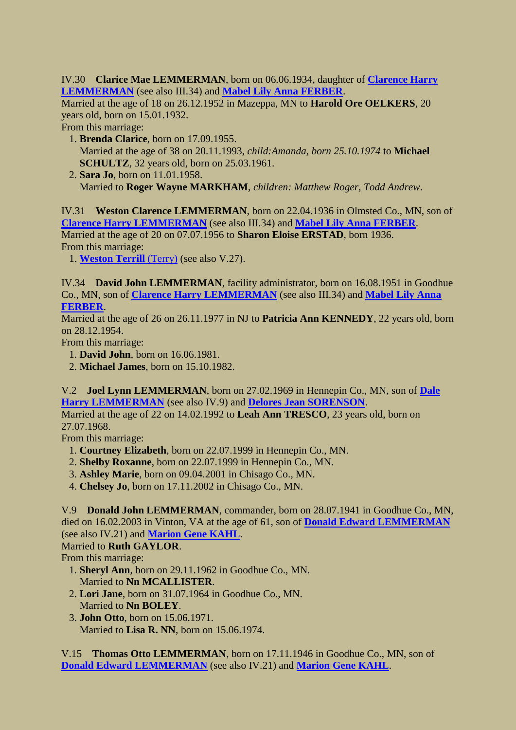<span id="page-10-0"></span>IV.30 **Clarice Mae LEMMERMAN**, born on 06.06.1934, daughter of **[Clarence Harry](#page-8-2)  [LEMMERMAN](#page-8-2)** (see also III.34) and **[Mabel Lily Anna FERBER](#page-8-4)**.

Married at the age of 18 on 26.12.1952 in Mazeppa, MN to **Harold Ore OELKERS**, 20 years old, born on 15.01.1932.

From this marriage:

- 1. **Brenda Clarice**, born on 17.09.1955. Married at the age of 38 on 20.11.1993, *child:Amanda, born 25.10.1974* to **Michael SCHULTZ**, 32 years old, born on 25.03.1961.
- 2. **Sara Jo**, born on 11.01.1958. Married to **Roger Wayne MARKHAM**, *children: Matthew Roger, Todd Andrew*.

<span id="page-10-1"></span>IV.31 **Weston Clarence LEMMERMAN**, born on 22.04.1936 in Olmsted Co., MN, son of **[Clarence Harry LEMMERMAN](#page-8-2)** (see also III.34) and **[Mabel Lily Anna FERBER](#page-8-4)**. Married at the age of 20 on 07.07.1956 to **Sharon Eloise ERSTAD**, born 1936. From this marriage:

<span id="page-10-6"></span>1. **[Weston Terrill](#page-11-1)** (Terry) (see also V.27).

<span id="page-10-2"></span>IV.34 **David John LEMMERMAN**, facility administrator, born on 16.08.1951 in Goodhue Co., MN, son of **[Clarence Harry LEMMERMAN](#page-8-2)** (see also III.34) and **[Mabel Lily Anna](#page-8-4)  [FERBER](#page-8-4)**.

Married at the age of 26 on 26.11.1977 in NJ to **Patricia Ann KENNEDY**, 22 years old, born on 28.12.1954.

From this marriage:

- 1. **David John**, born on 16.06.1981.
- 2. **Michael James**, born on 15.10.1982.

<span id="page-10-3"></span>V.2 **Joel Lynn LEMMERMAN**, born on 27.02.1969 in Hennepin Co., MN, son of **[Dale](#page-9-1)  [Harry LEMMERMAN](#page-9-1)** (see also IV.9) and **[Delores Jean SORENSON](#page-9-4)**.

Married at the age of 22 on 14.02.1992 to **Leah Ann TRESCO**, 23 years old, born on 27.07.1968.

From this marriage:

- 1. **Courtney Elizabeth**, born on 22.07.1999 in Hennepin Co., MN.
- 2. **Shelby Roxanne**, born on 22.07.1999 in Hennepin Co., MN.
- 3. **Ashley Marie**, born on 09.04.2001 in Chisago Co., MN.
- 4. **Chelsey Jo**, born on 17.11.2002 in Chisago Co., MN.

<span id="page-10-4"></span>V.9 **Donald John LEMMERMAN**, commander, born on 28.07.1941 in Goodhue Co., MN, died on 16.02.2003 in Vinton, VA at the age of 61, son of **[Donald Edward LEMMERMAN](#page-9-3)** (see also IV.21) and **[Marion Gene KAHL](#page-9-5)**.

Married to **Ruth GAYLOR**.

From this marriage:

- 1. **Sheryl Ann**, born on 29.11.1962 in Goodhue Co., MN. Married to **Nn MCALLISTER**.
- 2. **Lori Jane**, born on 31.07.1964 in Goodhue Co., MN. Married to **Nn BOLEY**.
- 3. **John Otto**, born on 15.06.1971. Married to **Lisa R. NN**, born on 15.06.1974.

<span id="page-10-5"></span>V.15 **Thomas Otto LEMMERMAN**, born on 17.11.1946 in Goodhue Co., MN, son of **[Donald Edward LEMMERMAN](#page-9-3)** (see also IV.21) and **[Marion Gene KAHL](#page-9-5)**.